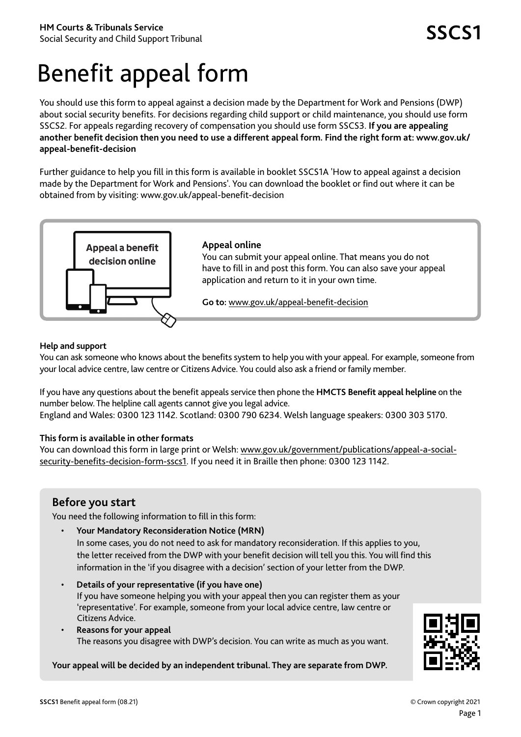# Benefit appeal form

You should use this form to appeal against a decision made by the Department for Work and Pensions (DWP) about social security benefits. For decisions regarding child support or child maintenance, you should use form SSCS2. For appeals regarding recovery of compensation you should use form SSCS3. **If you are appealing another benefit decision then you need to use a different appeal form. Find the right form at: www.gov.uk/ appeal-benefit-decision**

Further guidance to help you fill in this form is available in booklet SSCS1A 'How to appeal against a decision made by the Department for Work and Pensions'. You can download the booklet or find out where it can be obtained from by visiting: www.gov.uk/appeal-benefit-decision



#### **Help and support**

You can ask someone who knows about the benefits system to help you with your appeal. For example, someone from your local advice centre, law centre or Citizens Advice. You could also ask a friend or family member.

If you have any questions about the benefit appeals service then phone the **HMCTS Benefit appeal helpline** on the number below. The helpline call agents cannot give you legal advice. England and Wales: 0300 123 1142. Scotland: 0300 790 6234. Welsh language speakers: 0300 303 5170.

### **This form is available in other formats**

You can download this form in large print or Welsh: www.gov.uk/government/publications/appeal-a-socialsecurity-benefits-decision-form-sscs1. If you need it in Braille then phone: 0300 123 1142.

## **Before you start**

You need the following information to fill in this form:

• **Your Mandatory Reconsideration Notice (MRN)**

In some cases, you do not need to ask for mandatory reconsideration. If this applies to you, the letter received from the DWP with your benefit decision will tell you this. You will find this information in the 'if you disagree with a decision' section of your letter from the DWP.

- **Details of your representative (if you have one)** If you have someone helping you with your appeal then you can register them as your 'representative'. For example, someone from your local advice centre, law centre or Citizens Advice.
- **Reasons for your appeal** The reasons you disagree with DWP's decision. You can write as much as you want.

#### **Your appeal will be decided by an independent tribunal. They are separate from DWP.**

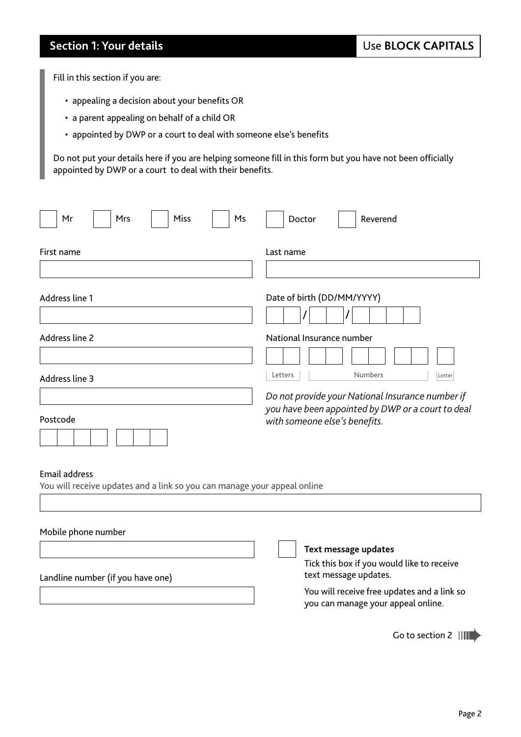## **Section 1: Your details**

Fill in this section if you are:

- appealing a decision about your benefits OR
- a parent appealing on behalf of a child OR
- appointed by DWP or a court to deal with someone else's benefits

Do not put your details here if you are helping someone fill in this form but you have not been officially appointed by DWP or a court to deal with their benefits.

| Mrs<br><b>Miss</b><br>Mr<br>Ms                                                                   | Doctor<br>Reverend                                                                                                                                                            |  |  |  |  |  |
|--------------------------------------------------------------------------------------------------|-------------------------------------------------------------------------------------------------------------------------------------------------------------------------------|--|--|--|--|--|
| First name                                                                                       | Last name                                                                                                                                                                     |  |  |  |  |  |
| Address line 1                                                                                   | Date of birth (DD/MM/YYYY)                                                                                                                                                    |  |  |  |  |  |
| Address line 2                                                                                   | National Insurance number                                                                                                                                                     |  |  |  |  |  |
| Address line 3<br>Postcode                                                                       | Letters<br><b>Numbers</b><br>Letter<br>Do not provide your National Insurance number if<br>you have been appointed by DWP or a court to deal<br>with someone else's benefits. |  |  |  |  |  |
| <b>Email address</b><br>You will receive updates and a link so you can manage your appeal online |                                                                                                                                                                               |  |  |  |  |  |
| Mobile phone number                                                                              |                                                                                                                                                                               |  |  |  |  |  |
| Landline number (if you have one)                                                                | Text message updates<br>Tick this box if you would like to receive<br>text message updates.                                                                                   |  |  |  |  |  |
|                                                                                                  | You will receive free updates and a link so<br>you can manage your appeal online.                                                                                             |  |  |  |  |  |
|                                                                                                  | Go to section 2                                                                                                                                                               |  |  |  |  |  |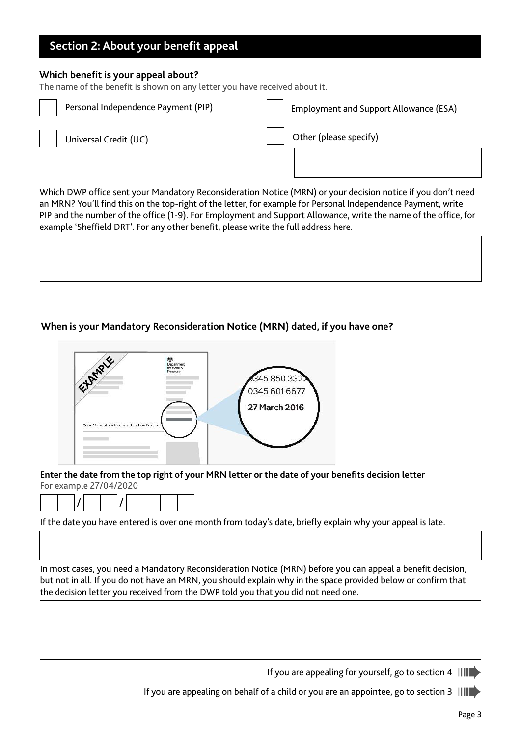## **Section 2: About your benefit appeal**

#### **Which benefit is your appeal about?**

The name of the benefit is shown on any letter you have received about it.

| Personal Independence Payment (PIP) | <b>Employment and Support Allowance (ESA)</b> |
|-------------------------------------|-----------------------------------------------|
| Universal Credit (UC)               | Other (please specify)                        |
|                                     |                                               |

Which DWP office sent your Mandatory Reconsideration Notice (MRN) or your decision notice if you don't need an MRN? You'll find this on the top-right of the letter, for example for Personal Independence Payment, write PIP and the number of the office (1-9). For Employment and Support Allowance, write the name of the office, for example 'Sheffield DRT'. For any other benefit, please write the full address here.

#### **When is your Mandatory Reconsideration Notice (MRN) dated, if you have one?**



**Enter the date from the top right of your MRN letter or the date of your benefits decision letter** For example 27/04/2020

|--|--|--|--|--|--|--|--|

If the date you have entered is over one month from today's date, briefly explain why your appeal is late.

In most cases, you need a Mandatory Reconsideration Notice (MRN) before you can appeal a benefit decision, but not in all. If you do not have an MRN, you should explain why in the space provided below or confirm that the decision letter you received from the DWP told you that you did not need one.

If you are appealing for yourself, go to section 4  $\|\|\|\|\|$ 

If you are appealing on behalf of a child or you are an appointee, go to section 3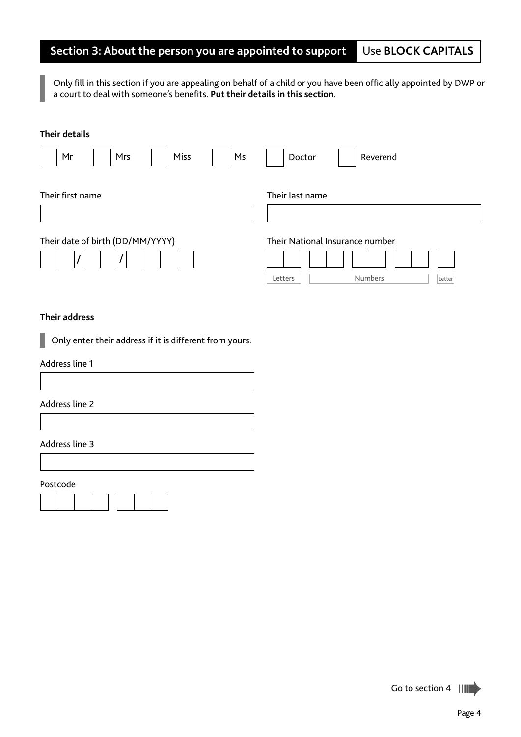#### **Section 3: About the person you are appointed to support**  Use **BLOCK CAPITALS**

Only fill in this section if you are appealing on behalf of a child or you have been officially appointed by DWP or a court to deal with someone's benefits. **Put their details in this section**.

#### **Their details**

| Miss<br>Mr<br>Ms<br>Mrs          | Doctor<br>Reverend                  |
|----------------------------------|-------------------------------------|
| Their first name                 | Their last name                     |
| Their date of birth (DD/MM/YYYY) | Their National Insurance number     |
|                                  | <b>Numbers</b><br>Letters<br>Letter |

#### **Their address**

Only enter their address if it is different from yours.

#### Address line 1

#### Address line 2

#### Address line 3

Postcode



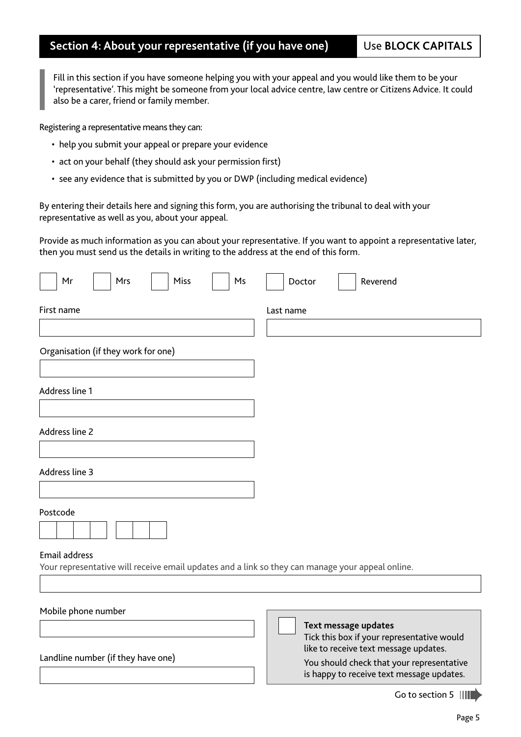## **Section 4: About your representative (if you have one)**

Use **BLOCK CAPITALS**

Fill in this section if you have someone helping you with your appeal and you would like them to be your 'representative'. This might be someone from your local advice centre, law centre or Citizens Advice. It could also be a carer, friend or family member.

Registering a representative means they can:

- help you submit your appeal or prepare your evidence
- act on your behalf (they should ask your permission first)
- see any evidence that is submitted by you or DWP (including medical evidence)

By entering their details here and signing this form, you are authorising the tribunal to deal with your representative as well as you, about your appeal.

Provide as much information as you can about your representative. If you want to appoint a representative later, then you must send us the details in writing to the address at the end of this form.

| Mr                   | Mrs                                 | Miss | Ms | Doctor    |  | Reverend                                                                                                                                                                                              |
|----------------------|-------------------------------------|------|----|-----------|--|-------------------------------------------------------------------------------------------------------------------------------------------------------------------------------------------------------|
| First name           |                                     |      |    | Last name |  |                                                                                                                                                                                                       |
|                      |                                     |      |    |           |  |                                                                                                                                                                                                       |
|                      | Organisation (if they work for one) |      |    |           |  |                                                                                                                                                                                                       |
| Address line 1       |                                     |      |    |           |  |                                                                                                                                                                                                       |
| Address line 2       |                                     |      |    |           |  |                                                                                                                                                                                                       |
| Address line 3       |                                     |      |    |           |  |                                                                                                                                                                                                       |
| Postcode             |                                     |      |    |           |  |                                                                                                                                                                                                       |
| <b>Email address</b> |                                     |      |    |           |  | Your representative will receive email updates and a link so they can manage your appeal online.                                                                                                      |
| Mobile phone number  |                                     |      |    |           |  |                                                                                                                                                                                                       |
|                      | Landline number (if they have one)  |      |    |           |  | Text message updates<br>Tick this box if your representative would<br>like to receive text message updates.<br>You should check that your representative<br>is happy to receive text message updates. |
|                      |                                     |      |    |           |  | Go to section 5 $\ \ \ $                                                                                                                                                                              |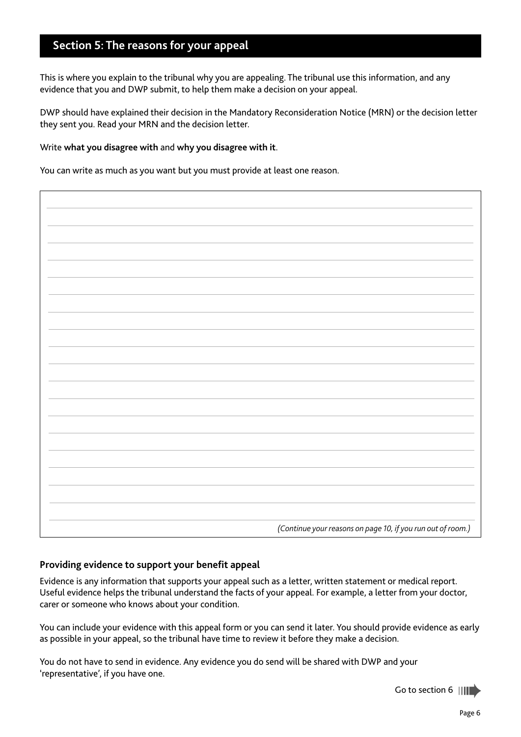## **Section 5: The reasons for your appeal**

This is where you explain to the tribunal why you are appealing. The tribunal use this information, and any evidence that you and DWP submit, to help them make a decision on your appeal.

DWP should have explained their decision in the Mandatory Reconsideration Notice (MRN) or the decision letter they sent you. Read your MRN and the decision letter.

#### Write **what you disagree with** and **why you disagree with it**.

You can write as much as you want but you must provide at least one reason.

| (Continue your reasons on page 10, if you run out of room.) |
|-------------------------------------------------------------|

#### **Providing evidence to support your benefit appeal**

Evidence is any information that supports your appeal such as a letter, written statement or medical report. Useful evidence helps the tribunal understand the facts of your appeal. For example, a letter from your doctor, carer or someone who knows about your condition.

You can include your evidence with this appeal form or you can send it later. You should provide evidence as early as possible in your appeal, so the tribunal have time to review it before they make a decision.

You do not have to send in evidence. Any evidence you do send will be shared with DWP and your 'representative', if you have one.

Go to section 6 ||||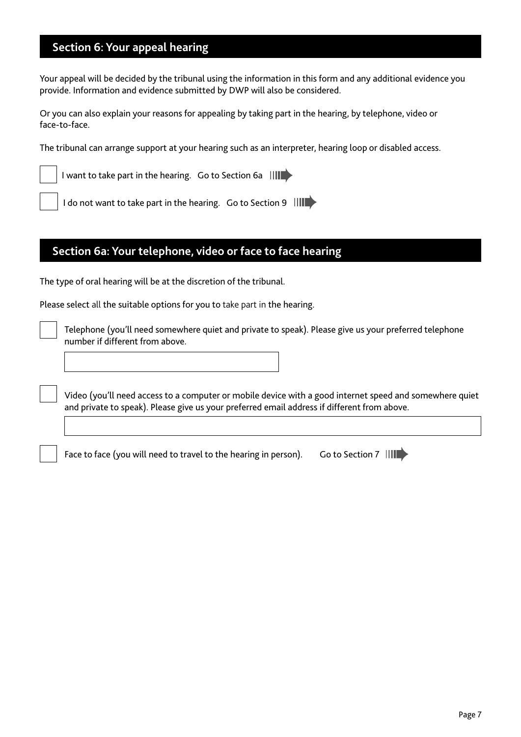## **Section 6: Your appeal hearing**

Your appeal will be decided by the tribunal using the information in this form and any additional evidence you provide. Information and evidence submitted by DWP will also be considered.

Or you can also explain your reasons for appealing by taking part in the hearing, by telephone, video or face-to-face.

The tribunal can arrange support at your hearing such as an interpreter, hearing loop or disabled access.

I want to take part in the hearing. Go to Section 6a ||

I do not want to take part in the hearing. Go to Section 9 |||

## **Section 6a: Your telephone, video or face to face hearing**

The type of oral hearing will be at the discretion of the tribunal.

Please select all the suitable options for you to take part in the hearing.

Telephone (you'll need somewhere quiet and private to speak). Please give us your preferred telephone number if different from above.

Video (you'll need access to a computer or mobile device with a good internet speed and somewhere quiet and private to speak). Please give us your preferred email address if different from above.

Face to face (you will need to travel to the hearing in person). Go to Section 7  $\|$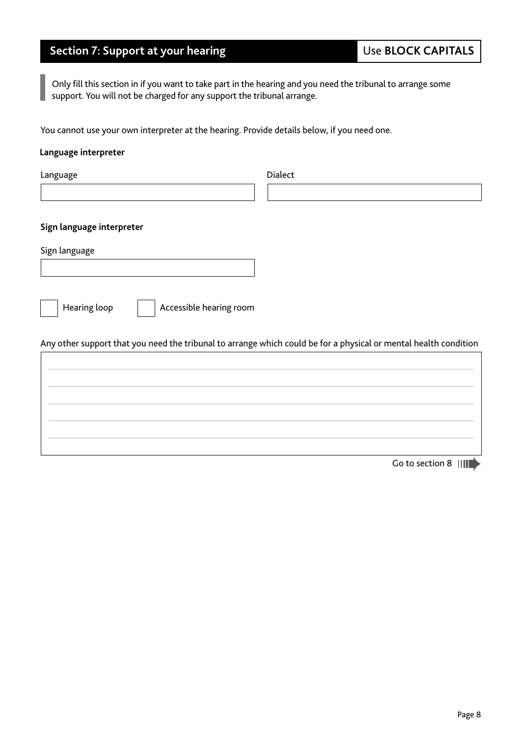## **Section 7: Support at your hearing**

Only fill this section in if you want to take part in the hearing and you need the tribunal to arrange some support. You will not be charged for any support the tribunal arrange.

You cannot use your own interpreter at the hearing. Provide details below, if you need one.

#### **Language interpreter**

| Dialect                                                                                                          |
|------------------------------------------------------------------------------------------------------------------|
|                                                                                                                  |
|                                                                                                                  |
|                                                                                                                  |
|                                                                                                                  |
|                                                                                                                  |
| Any other support that you need the tribunal to arrange which could be for a physical or mental health condition |
|                                                                                                                  |
|                                                                                                                  |
|                                                                                                                  |
|                                                                                                                  |
|                                                                                                                  |

Go to section 8 |||||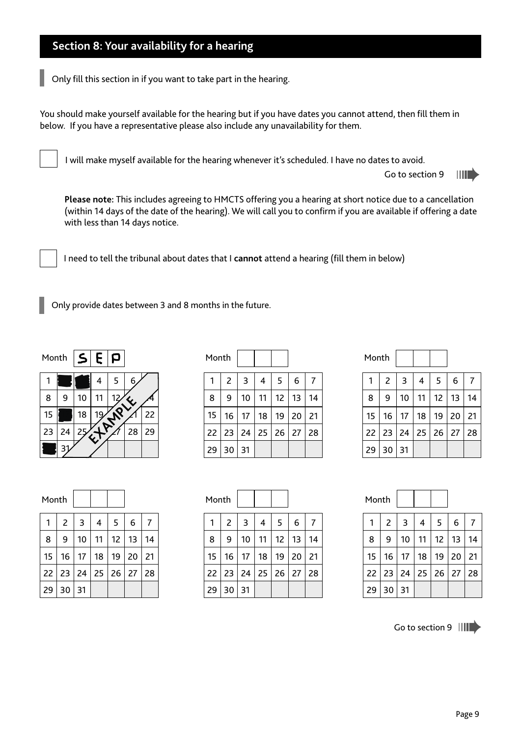## **Section 8: Your availability for a hearing**

Only fill this section in if you want to take part in the hearing.

You should make yourself available for the hearing but if you have dates you cannot attend, then fill them in below. If you have a representative please also include any unavailability for them.

I will make myself available for the hearing whenever it's scheduled. I have no dates to avoid.

Go to section 9 HID

**Please note:** This includes agreeing to HMCTS offering you a hearing at short notice due to a cancellation (within 14 days of the date of the hearing). We will call you to confirm if you are available if offering a date with less than 14 days notice.

I need to tell the tribunal about dates that I **cannot** attend a hearing (fill them in below)

Only provide dates between 3 and 8 months in the future.

 $S$ | $E$ | $P$ 

|    |    |    | 4 | 5               | 6  |    |
|----|----|----|---|-----------------|----|----|
| 8  | 9  | 10 |   | 12 <sub>c</sub> | Ų, |    |
| 15 |    | 18 |   |                 |    | 22 |
| 23 | 24 | 25 |   |                 | 28 | 29 |
|    | З  |    |   |                 |    |    |

| Month |    |    |    |    |    |    |
|-------|----|----|----|----|----|----|
|       | 2  | 3  | 4  | 5  | 6  | 7  |
| 8     | 9  | 10 | 11 | 12 | 13 | 14 |
| 15    | 16 | 17 | 18 | 19 | 20 | 21 |
| 22    | 23 | 24 | 25 | 26 | 27 | 28 |
| 29    | 30 | 31 |    |    |    |    |

|    |    |                 |                           |    | Month |    |              |    |    |    |    |
|----|----|-----------------|---------------------------|----|-------|----|--------------|----|----|----|----|
| 3  | 4  | 5.              | 6                         | 7  |       | 2  | 3            | 4  | 5  | 6  | 7  |
| 10 | 11 | 12 <sub>1</sub> | 13                        | 14 | 8     | 9  | 10           | 11 | 12 | 13 | 14 |
| 17 | 18 | 19              | 20                        | 21 | 15    | 16 | -17          | 18 | 19 | 20 | 21 |
| 24 |    |                 | $25 \mid 26 \mid 27 \mid$ | 28 | 22    | 23 | $24 \mid 25$ |    | 26 | 27 | 28 |
| 31 |    |                 |                           |    | 29    | 30 | 31           |    |    |    |    |

| Month           |                |    |    |    |    |    |
|-----------------|----------------|----|----|----|----|----|
|                 | $\overline{2}$ | 3  | 4  | 5  | 6  |    |
| 8               | 9              | 10 | 11 | 12 | 13 | 14 |
| 15 <sub>1</sub> | 16             | 17 | 18 | 19 | 20 | 21 |
| 22              | 23 24          |    | 25 | 26 | 27 | 28 |
| 29              | 30             | 31 |    |    |    |    |

| Month |    |    |    |    |    |    |
|-------|----|----|----|----|----|----|
|       | 2  | 3  | 4  | 5  | 6  | 7  |
| 8     | 9  | 10 | 11 | 12 | 13 | 14 |
| 15    | 16 | 17 | 18 | 19 | 20 | 21 |
| 22    | 23 | 24 | 25 | 26 | 27 | 28 |
| 29    | 30 | 31 |    |    |    |    |

| Month |    |    |    |    |    |    |
|-------|----|----|----|----|----|----|
|       | 2  | 3  | 4  | 5  | 6  | 7  |
| 8     | 9  | 10 | 11 | 12 | 13 | 14 |
| 15    | 16 | 17 | 18 | 19 | 20 | 21 |
| 22    | 23 | 24 | 25 | 26 | 27 | 28 |
| 29    | 30 | 31 |    |    |    |    |

Go to section 9 ||||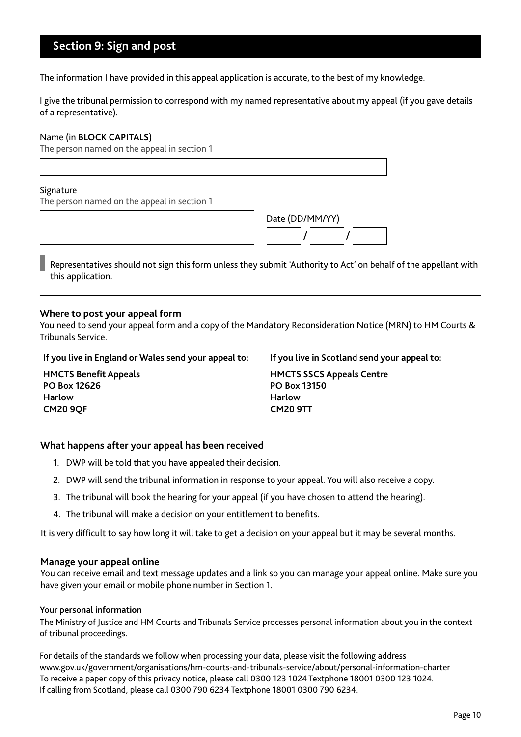## **Section 9: Sign and post**

The information I have provided in this appeal application is accurate, to the best of my knowledge.

I give the tribunal permission to correspond with my named representative about my appeal (if you gave details of a representative).

#### Name (in **BLOCK CAPITALS**)

The person named on the appeal in section 1

#### **Signature**

The person named on the appeal in section 1

| Date (DD/MM/YY) |  |  |  |  |  |  |
|-----------------|--|--|--|--|--|--|
|                 |  |  |  |  |  |  |

Representatives should not sign this form unless they submit 'Authority to Act' on behalf of the appellant with this application.

#### **Where to post your appeal form**

You need to send your appeal form and a copy of the Mandatory Reconsideration Notice (MRN) to HM Courts & Tribunals Service.

#### **If you live in England or Wales send your appeal to: If you live in Scotland send your appeal to:**

**HMCTS Benefit Appeals PO Box 12626 Harlow CM20 9QF**

**HMCTS SSCS Appeals Centre PO Box 13150 Harlow CM20 9TT**

#### **What happens after your appeal has been received**

- 1. DWP will be told that you have appealed their decision.
- 2. DWP will send the tribunal information in response to your appeal. You will also receive a copy.
- 3. The tribunal will book the hearing for your appeal (if you have chosen to attend the hearing).
- 4. The tribunal will make a decision on your entitlement to benefits.

It is very difficult to say how long it will take to get a decision on your appeal but it may be several months.

#### **Manage your appeal online**

You can receive email and text message updates and a link so you can manage your appeal online. Make sure you have given your email or mobile phone number in Section 1.

#### **Your personal information**

The Ministry of Justice and HM Courts and Tribunals Service processes personal information about you in the context of tribunal proceedings.

For details of the standards we follow when processing your data, please visit the following address www.gov.uk/government/organisations/hm-courts-and-tribunals-service/about/personal-information-charter To receive a paper copy of this privacy notice, please call 0300 123 1024 Textphone 18001 0300 123 1024. If calling from Scotland, please call 0300 790 6234 Textphone 18001 0300 790 6234.